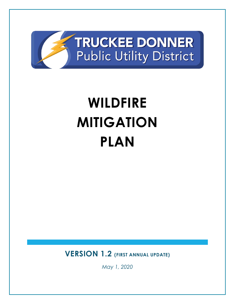

# **WILDFIRE MITIGATION PLAN**

**VERSION 1.2 (FIRST ANNUAL UPDATE)**

*May 1, 2020*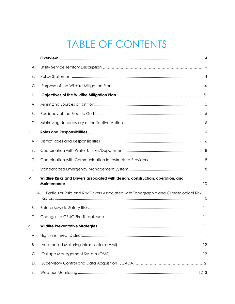# TABLE OF CONTENTS

| $\mathsf{l}$ . |                                                                                             |
|----------------|---------------------------------------------------------------------------------------------|
| А.             |                                                                                             |
| Β.             |                                                                                             |
| C.             |                                                                                             |
| Ⅱ.             |                                                                                             |
| Α.             |                                                                                             |
| Β.             |                                                                                             |
| C.             |                                                                                             |
| III.           |                                                                                             |
| Α.             |                                                                                             |
| Β.             |                                                                                             |
| С.             |                                                                                             |
| D.             |                                                                                             |
| IV.            | Wildfire Risks and Drivers associated with design, construction, operation, and             |
|                | Particular Risks and Risk Drivers Associated with Topographic and Climatological Risk<br>А. |
| Β.             |                                                                                             |
| C.             |                                                                                             |
| V.             | <b>Wildfire Preventative Strategies.</b><br>11                                              |
| Α.             |                                                                                             |
| Β.             |                                                                                             |
| С.             |                                                                                             |
|                |                                                                                             |
| D.             |                                                                                             |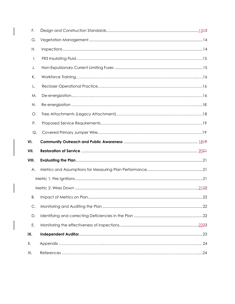| F.    |  |
|-------|--|
| G.    |  |
| Η.    |  |
| Ι.    |  |
| J.    |  |
| К.    |  |
| L.    |  |
| М.    |  |
| N.    |  |
| О.    |  |
| Ρ.    |  |
| Q.    |  |
|       |  |
| VI.   |  |
| VII.  |  |
| VIII. |  |
| Α.    |  |
|       |  |
|       |  |
| Β.    |  |
| C.    |  |
| D.    |  |
| Ε.    |  |
| IX.   |  |
| Χ.    |  |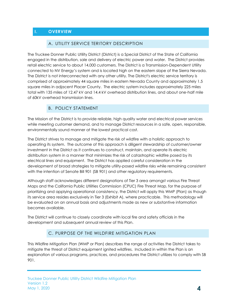# <span id="page-3-1"></span><span id="page-3-0"></span>**I. OVERVIEW**

#### A. UTILITY SERVICE TERITORY DESCRIPTION

The Truckee Donner Public Utility District (District) is a Special District of the State of California engaged in the distribution, sale and delivery of electric power and water. The District provides retail electric service to about 14,000 customers. The District is a Transmission-Dependent Utility connected to NV Energy's system and is located high on the eastern slope of the Sierra Nevada. The District is not interconnected with any other utility. The District's electric service territory is comprised of approximately 44 square miles in eastern Nevada County and approximately 1.5 square miles in adjacent Placer County. The electric system includes approximately 225 miles total with 135 miles of 12.47 kV and 14.4 kV overhead distribution lines, and about one-half mile of 60kV overhead transmission lines.

#### B. POLICY STATEMENT

The Mission of the District is to provide reliable, high quality water and electrical power services while meeting customer demand, and to manage District resources in a safe, open, responsible, environmentally sound manner at the lowest practical cost.

The District strives to manage and mitigate the risk of wildfire with a holistic approach to operating its system. The outcome of this approach is diligent stewardship of customer/owner investment in the District as it continues to construct, maintain, and operate its electric distribution system in a manner that minimizes the risk of catastrophic wildfire posed by its electrical lines and equipment. The District has applied careful consideration in the development of broad strategies to mitigate utility-posed wildfire risks while remaining consistent with the intention of Senate Bill 901 (SB 901) and other regulatory requirements.

Although staff acknowledges different designations of Tier 3 area amongst various Fire Threat Maps and the California Public Utilities Commission (CPUC) Fire Threat Map, for the purpose of prioritizing and applying operational consistency, the District will apply this WMP (Plan) as though its service area resides exclusively in Tier 3 (Exhibit A), where practicable. This methodology will be evaluated on an annual basis and adjustments made as new or substantive information becomes available.

The District will continue to closely coordinate with local fire and safety officials in the development and subsequent annual review of this Plan.

#### C. PURPOSE OF THE WILDFIRE MITIGATION PLAN

<span id="page-3-2"></span>This Wildfire Mitigation Plan (WMP or Plan) describes the range of activities the District takes to mitigate the threat of District equipment ignited wildfires. Included in within the Plan is an explanation of various programs, practices, and procedures the District utilizes to comply with SB 901.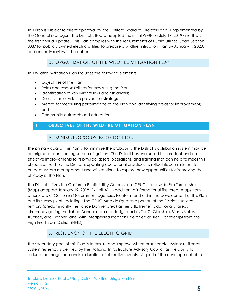This Plan is subject to direct approval by the District's Board of Directors and is implemented by the General Manager. The District's Board adopted the initial WMP on July 17, 2019 and this is the first annual update. This Plan complies with the requirements of Public Utilities Code Section 8387 for publicly owned electric utilities to prepare a wildfire mitigation Plan by January 1, 2020, and annually review it thereafter.

# D. ORGANIZATION OF THE WILDFIRE MITIGATION PLAN

This Wildfire Mitigation Plan includes the following elements:

- Objectives of the Plan;
- Roles and responsibilities for executing the Plan;
- Identification of key wildfire risks and risk drivers;
- Description of wildfire prevention strategies;
- Metrics for measuring performance of the Plan and identifying areas for improvement; and
- Community outreach and education.

#### <span id="page-4-1"></span><span id="page-4-0"></span>**II. OBJECTIVES OF THE WILDFIRE MITIGATION PLAN**

#### A. MINIMIZING SOURCES OF IGNITION

The primary goal of this Plan is to minimize the probability the District's distribution system may be an original or contributing source of ignition. The District has evaluated the prudent and costeffective improvements to its physical assets, operations, and training that can help to meet this objective. Further, the District is updating operational practices to reflect its commitment to prudent system management and will continue to explore new opportunities for improving the efficacy of the Plan.

The District utilizes the California Public Utility Commission (CPUC) state-wide Fire Threat Map (Map) adopted January 19, 2018 (Exhibit A), in addition to informational fire threat maps from other State of California Government agencies to inform and aid in the development of this Plan and its subsequent updating. The CPUC Map designates a portion of the District's service territory (predominantly the Tahoe Donner area) as Tier 3 (Extreme); additionally, areas circumnavigating the Tahoe Donner area are designated as Tier 2 (Glenshire, Martis Valley, Truckee, and Donner Lake) with interspersed locations identified as Tier 1, or exempt from the High-Fire-Threat-District (HFTD).

# B. RESILIENCY OF THE ELECTRIC GRID

<span id="page-4-2"></span>The secondary goal of this Plan is to ensure and improve where practicable, system resiliency. System resiliency is defined by the National Infrastructure Advisory Council as the ability to reduce the magnitude and/or duration of disruptive events. As part of the development of this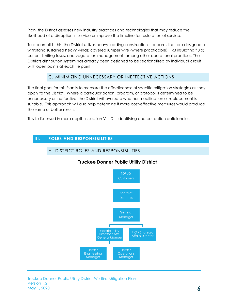Plan, the District assesses new industry practices and technologies that may reduce the likelihood of a disruption in service or improve the timeline for restoration of service.

To accomplish this, the District utilizes heavy-loading construction standards that are designed to withstand sustained heavy winds; covered jumper wire (where practicable); FR3 insulating fluid; current limiting fuses; and vegetation management, among other operational practices. The Districts distribution system has already been designed to be sectionalized by individual circuit with open points at each tie point.

#### C. MINIMIZING UNNECESSARY OR INEFFECTIVE ACTIONS

<span id="page-5-0"></span>The final goal for this Plan is to measure the effectiveness of specific mitigation strategies as they apply to the District. Where a particular action, program, or protocol is determined to be unnecessary or ineffective, the District will evaluate whether modification or replacement is suitable. This approach will also help determine if more cost-effective measures would produce the same or better results.

This is discussed in more depth in section VIII. D – Identifying and correction deficiencies.

#### <span id="page-5-2"></span><span id="page-5-1"></span>**III. ROLES AND RESPONSIBILITIES**

#### A. DISTRICT ROLES AND RESPONSIBILITIES



#### **Truckee Donner Public Utility District**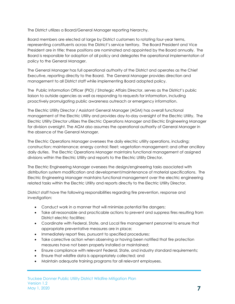The District utilizes a Board/General Manager reporting hierarchy.

Board members are elected at large by District customers to rotating four-year terms, representing constituents across the District's service territory. The Board President and Vice President are in title; these positions are nominated and appointed by the Board annually. The Board is responsible for adoption of all policy and delegates the operational implementation of policy to the General Manager.

The General Manager has full operational authority of the District and operates as the Chief Executive, reporting directly to the Board. The General Manager provides direction and management to all District staff while implementing Board adopted policy.

The Public Information Officer (PIO) / Strategic Affairs Director, serves as the District's public liaison to outside agencies as well as responding to requests for information, including proactively promulgating public awareness outreach or emergency information.

The Electric Utility Director / Assistant General Manager (AGM) has overall functional management of the Electric Utility and provides day-to-day oversight of the Electric Utility. The Electric Utility Director utilizes the Electric Operations Manager and Electric Engineering Manager for division oversight. The AGM also assumes the operational authority of General Manager in the absence of the General Manager.

The Electric Operations Manager oversees the daily electric utility operations, including; construction; maintenance; energy control; fleet; vegetation management; and other ancillary daily duties. The Electric Operations Manager maintains functional management of assigned divisions within the Electric Utility and reports to the Electric Utility Director.

The Electric Engineering Manager oversees the design/engineering tasks associated with distribution system modification and development/maintenance of material specifications. The Electric Engineering Manager maintains functional management over the electric engineering related tasks within the Electric Utility and reports directly to the Electric Utility Director.

District staff have the following responsibilities regarding fire prevention, response and investigation:

- Conduct work in a manner that will minimize potential fire dangers;
- Take all reasonable and practicable actions to prevent and suppress fires resulting from District electric facilities;
- Coordinate with Federal, State, and Local fire management personnel to ensure that appropriate preventative measures are in place;
- Immediately report fires, pursuant to specified procedures;
- Take corrective action when observing or having been notified that fire protection measures have not been properly installed or maintained;
- Ensure compliance with relevant Federal, State, and industry standard requirements;
- Ensure that wildfire data is appropriately collected; and
- Maintain adequate training programs for all relevant employees.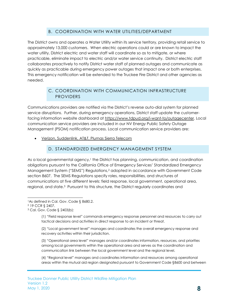#### B. COORDINATION WITH WATER UTILITIES/DEPARTMENT

<span id="page-7-0"></span>The District owns and operates a Water Utility within its service territory, providing retail service to approximately 13,000 customers. When electric operations could or are known to impact the water utility, District electric and water staff will coordinate so as to mitigate, or where practicable, eliminate impact to electric and/or water service continuity. District electric staff collaborates proactively to notify District water staff of planned outages and communicate as quickly as practicable during emergency power outages that impact one or both enterprises. This emergency notification will be extended to the Truckee Fire District and other agencies as needed.

#### C. COORDINATION WITH COMMUNICATION INFRASTRUCTURE PROVIDERS

<span id="page-7-1"></span>Communications providers are notified via the District's reverse auto-dial system for planned service disruptions. Further, during emergency operations, District staff update the customerfacing information website dashboard at [https://www.tdpud.org/i-want-to/outagecenter.](https://www.tdpud.org/i-want-to/outagecenter) Local communication service providers are included in our NV Energy Public Safety Outage Management (PSOM) notification process. Local communication service providers are:

Verizon, Suddenlink, AT&T, Plumas Sierra Telecom

#### D. STANDARDIZED EMERGENCY MANAGEMENT SYSTEM

<span id="page-7-2"></span>As a local governmental agency, <sup>1</sup> the District has planning, communication, and coordination obligations pursuant to the California Office of Emergency Services' Standardized Emergency Management System ("SEMS") Regulations,<sup>2</sup> adopted in accordance with Government Code section 8607. The SEMS Regulations specify roles, responsibilities, and structures of communications at five different levels: field response, local government, operational area, regional, and state.3 Pursuant to this structure, the District regularly coordinates and

l

(1) "Field response level" commands emergency response personnel and resources to carry out tactical decisions and activities in direct response to an incident or threat.

(2) "Local government level" manages and coordinates the overall emergency response and recovery activities within their jurisdiction.

(3) "Operational area level" manages and/or coordinates information, resources, and priorities among local governments within the operational area and serves as the coordination and communication link between the local government level and the regional level.

(4) "Regional level" manages and coordinates information and resources among operational areas within the mutual aid region designated pursuant to Government Code §8600 and between

<sup>&</sup>lt;sup>1</sup>As defined in Cal. Gov. Code § 8680.2.

<sup>2</sup> 19 CCR § 2407.

<sup>3</sup> Cal. Gov. Code § 2403(b):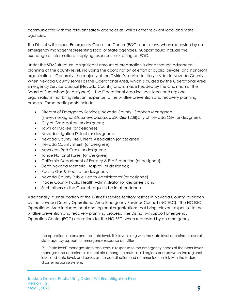communicates with the relevant safety agencies as well as other relevant local and State agencies.

The District will support Emergency Operation Center (EOC) operations, when requested by an emergency manager representing local or State agencies. Support could include the exchange of information, supplying resources, or staffing an EOC.

Under the SEMS structure, a significant amount of preparation is done through advanced planning at the county level, including the coordination of effort of public, private, and nonprofit organizations. Generally, the majority of the District's service territory resides in Nevada County. When Nevada County serves as the Operational Area, which is guided by the Operational Area Emergency Service Council (Nevada County) and is made headed by the Chairman of the Board of Supervisors (or designee). The Operational Area includes local and regional organizations that bring relevant expertise to the wildfire prevention and recovery planning process. These participants include:

- Director of Emergency Services; Nevada County. Stephen Monaghan (steve.monaghan@co.nevada.ca.us, 530-265-1238)City of Nevada City (or designee);
- City of Grass Valley (or designee);
- Town of Truckee (or designee);
- Nevada Irrigation District (or designee);
- Nevada County Fire Chief's Association (or designee);
- Nevada County Sheriff (or designee);
- American Red Cross (or designee);
- Tahoe National Forest (or designee);
- California Department of Forestry & Fire Protection (or designee);
- Sierra Nevada Memorial Hospital (or designee);
- Pacific Gas & Electric (or designee);

l

- Nevada County Public Health Administrator (or designee)
- Placer County Public Health Administrator (or designee); and
- Such others as the Council requests be in attendance.

Additionally, a small portion of the District's service territory resides in Nevada County, overseen by the Nevada County Operational Area Emergency Services Council (NC-ESC). The NC-ESC Operational Area includes local and regional organizations that bring relevant expertise to the wildfire prevention and recovery planning process. The District will support Emergency Operation Center (EOC) operations for the NC-ESC, when requested by an emergency

the operational areas and the state level. This level along with the state level coordinates overall state agency support for emergency response activities.

<sup>(5) &</sup>quot;State level" manages state resources in response to the emergency needs of the other levels, manages and coordinates mutual aid among the mutual aid regions and between the regional level and state level, and serves as the coordination and communication link with the federal disaster response system.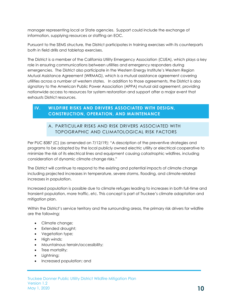manager representing local or State agencies. Support could include the exchange of information, supplying resources or staffing an EOC.

Pursuant to the SEMS structure, the District participates in training exercises with its counterparts both in field drills and tabletop exercises.

The District is a member of the California Utility Emergency Association (CUEA), which plays a key role in ensuring communications between utilities and emergency responders during emergencies. The District also participate in the Western Energy Institute's Western Region Mutual Assistance Agreement (WRMAG), which is a mutual assistance agreement covering utilities across a number of western states. In addition to those agreements, the District is also signatory to the American Public Power Association (APPA) mutual aid agreement, providing nationwide access to resources for system restoration and support after a major event that exhausts District resources.

#### <span id="page-9-1"></span><span id="page-9-0"></span>**IV. WILDFIRE RISKS AND DRIVERS ASSOCIATED WITH DESIGN, CONSTRUCTION, OPERATION, AND MAINTENANCE**

#### A. PARTICULAR RISKS AND RISK DRIVERS ASSOCIATED WITH TOPOGRAPHIC AND CLIMATOLOGICAL RISK FACTORS

Per PUC 8387 (C) (as amended on 7/12/19): "A description of the preventive strategies and programs to be adopted by the local publicly owned electric utility or electrical cooperative to minimize the risk of its electrical lines and equipment causing catastrophic wildfires, including consideration of dynamic climate change risks."

The District will continue to respond to the existing and potential impacts of climate change including projected increases in temperature, severe storms, flooding, and climate-related increases in population.

Increased population is possible due to climate refuges leading to increases in both full-time and transient population, more traffic, etc. This concept is part of Truckee's climate adaptation and mitigation plan.

Within the District's service territory and the surrounding areas, the primary risk drivers for wildfire are the following:

- Climate change;
- Extended drought;
- Vegetation type;
- High winds;
- Mountainous terrain/accessibility;
- Tree mortality;
- Lightning;
- Increased population; and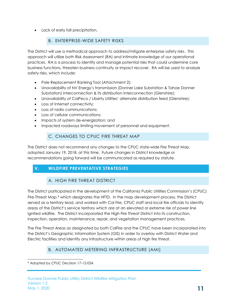Lack of early fall precipitation.

#### B. ENTERPRISE-WIDE SAFETY RISKS

<span id="page-10-0"></span>The District will use a methodical approach to address/mitigate enterprise safety risks. This approach will utilize both Risk Assessment (RA) and intimate knowledge of our operational practices. RA is a process to identify and manage potential risks that could undermine core business functions, threaten business continuity or impact recover. RA will be used to analyze safety risks, which include:

- Pole Replacement Ranking Tool (Attachment 2);
- Unavailability of NV Energy's transmission (Donner Lake Substation & Tahoe Donner Substation) interconnection & its distribution interconnection (Glenshire);
- Unavailability of CalPeco / Liberty Utilities' alternate distribution feed (Glenshire);
- Loss of Internet connectivity:
- Loss of radio communications;
- Loss of cellular communications:
- Impacts of system de-energization; and
- Impacted roadways limiting movement of personnel and equipment.

#### C. CHANGES TO CPUC FIRE THREAT MAP

<span id="page-10-1"></span>The District does not recommend any changes to the CPUC state-wide Fire Threat Map, adopted January 19, 2018, at this time. Future changes in District knowledge or recommendations going forward will be communicated as required by statute.

# <span id="page-10-3"></span><span id="page-10-2"></span>**V. WILDFIRE PREVENTATIVE STRATEGIES**

# A. HIGH FIRE THREAT DISTRICT

The District participated in the development of the California Public Utilities Commission's (CPUC) Fire-Threat Map,<sup>4</sup> which designates the HFTD. In the map development process, the District served as a territory lead, and worked with Cal Fire, CPUC staff and local fire officials to identify areas of the District's service territory which are at an elevated or extreme risk of power line ignited wildfire. The District incorporated the High Fire Threat District into its construction, inspection, operation, maintenance, repair, and vegetation management practices.

The Fire Threat Areas as designated by both CalFire and the CPUC have been incorporated into the District's Geographic Information System (GIS) in order to overlay with District Water and Electric facilities and identify any infrastructure within areas of high fire threat.

# B. AUTOMATED METERING INFRASTRUCTURE (AMI)

l <sup>4</sup> Adopted by CPUC Decision 17-12-024.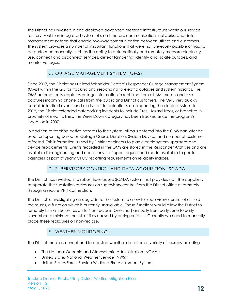The District has invested in and deployed advanced metering infrastructure within our service territory. AMI is an integrated system of smart meters, communications networks, and data management systems that enable two-way communication between utilities and customers. The system provides a number of important functions that were not previously possible or had to be performed manually, such as the ability to automatically and remotely measure electricity use, connect and disconnect services, detect tampering, identify and isolate outages, and monitor voltages.

# <span id="page-11-0"></span>C. OUTAGE MANAGEMENT SYSTEM (OMS)

Since 2007, the District has utilized Schneider Electric's Responder Outage Management System (OMS) within the GIS for tracking and responding to electric outages and system hazards. The OMS automatically captures outage information in real time from all AMI meters and also captures incoming phone calls from the public and District customers. The OMS very quickly consolidates field events and alerts staff to potential issues impacting the electric system. In 2019, the District extended categorizing incidents to include Fires, Hazard Trees, or branches in proximity of electric lines. The Wires Down category has been tracked since the program's inception in 2007.

In addition to tracking active hazards to the system, all calls entered into the OMS can later be used for reporting based on Outage Cause, Duration, System Device, and number of customers affected. This information is used by District engineers to plan electric system upgrades and device replacements. Events recorded in the OMS are stored in the Responder Archives and are available for engineering and operations staff upon request and made available to public agencies as part of yearly CPUC reporting requirements on reliability indices.

# D. SUPERVISORY CONTROL AND DATA ACQUISITION (SCADA)

The District has invested in a robust fiber-based SCADA system that provides staff the capability to operate the substation reclosures on supervisory control from the District office or remotely through a secure VPN connection.

The District is investigating an upgrade to the system to allow for supervisory control of all field reclosures, a function which is currently unavailable. These functions would allow the District to remotely turn all reclosures on to Non-reclose (One Shot) annually from early June to early November to minimize the risk of fires caused by arcing or faults. Currently we need to manually place these reclosures on non-reclose.

# E. WEATHER MONITORING

The District monitors current and forecasted weather data from a variety of sources including:

- The National Oceanic and Atmospheric Administration (NOAA);
- United States National Weather Service (NWS);
- United States Forest Service Wildland Fire Assessment System;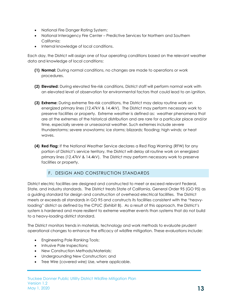- National Fire Danger Rating System;
- National Interagency Fire Center Predictive Services for Northern and Southern California;
- Internal knowledge of local conditions.

Each day, the District will assign one of four operating conditions based on the relevant weather data and knowledge of local conditions:

- **(1) Normal:** During normal conditions, no changes are made to operations or work procedures.
- **(2) Elevated:** During elevated fire-risk conditions, District staff will perform normal work with an elevated level of observation for environmental factors that could lead to an ignition.
- **(3) Extreme:** During extreme fire-risk conditions, the District may delay routine work on energized primary lines (12.47kV & 14.4kV). The District may perform necessary work to preserve facilities or property. Extreme weather is defined as: weather phenomena that are at the extremes of the historical distribution and are rare for a particular place and/or time, especially severe or unseasonal weather. Such extremes include severe thunderstorms; severe snowstorms; ice storms; blizzards; flooding; high winds; or heat waves.
- **(4) Red Flag:** If the National Weather Service declares a Red Flag Warning (RFW) for any portion of District's service territory, the District will delay all routine work on energized primary lines (12.47kV & 14.4kV). The District may perform necessary work to preserve facilities or property.

#### F. DESIGN AND CONSTRUCTION STANDARDS

<span id="page-12-0"></span>District electric facilities are designed and constructed to meet or exceed relevant Federal, State, and industry standards. The District treats State of California, General Order 95 (GO 95) as a guiding standard for design and construction of overhead electrical facilities. The District meets or exceeds all standards in GO 95 and constructs its facilities consistent with the "heavyloading" district as defined by the CPUC (Exhibit B). As a result of this approach, the District's system is hardened and more resilient to extreme weather events than systems that do not build to a heavy-loading district standard.

The District monitors trends in materials, technology and work methods to evaluate prudent operational changes to enhance the efficacy of wildfire mitigation. These evaluations include:

- Engineering Pole Ranking Tools;
- Intrusive Pole Inspections;
- New Construction Methods/Materials;
- Undergrounding New Construction; and
- Tree Wire (covered wire) Use, where applicable.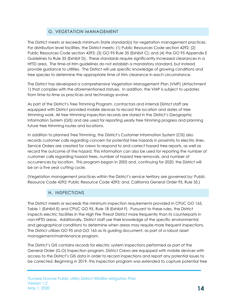#### G. VEGETATION MANAGEMENT

<span id="page-13-0"></span>The District meets or exceeds minimum State standard(s) for vegetation management practices. For distribution level facilities, the District meets: (1) Public Resources Code section 4292; (2) Public Resources Code section 4293; (3) GO 95 Rule 35 (Exhibit C); and (4) the GO 95 Appendix E Guidelines to Rule 35 (Exhibit D). These standards require significantly increased clearances in a HFTD area. The time-of-trim guidelines do not establish a mandatory standard, but instead provide guidance to utilities. The District will use specific knowledge of growing conditions and tree species to determine the appropriate time of trim clearance in each circumstance.

The District has developed a comprehensive Vegetation Management Plan (VMP) (Attachment 1) that complies with the aforementioned statues. In addition, the VMP is subject to updates from time-to-time as practices and technology evolve.

As part of the District's Tree Trimming Program, contractors and internal District staff are equipped with District provided mobile devices to record the location and dates of tree trimming work. All tree trimming inspection records are stored in the District's Geographic Information System (GIS) and are used for reporting yearly tree trimming progress and planning future tree trimming routes and locations.

In addition to planned Tree Trimming, the District's Customer Information System (CIS) also records customer calls regarding concern for potential tree hazards in proximity to electric lines. Service Orders are created for crews to respond to and correct hazard tree reports, as well as record the outcome of the hazard. This information can also be used for reporting the number of customer calls regarding hazard trees, number of hazard tree removals, and number of occurrences by location. This program began in 2005 and, continuing for 2020, the District will be on a five year cutting cycle.

(Vegetation management practices within the District's service territory are governed by: Public Resource Code 4292; Public Resource Code 4293; and, California General Order 95, Rule 35.)

#### H. INSPECTIONS

<span id="page-13-1"></span>The District meets or exceeds the minimum inspection requirements provided in CPUC GO 165, Table 1 (Exhibit E) and CPUC GO 95, Rule 18 (Exhibit F). Pursuant to these rules, the District inspects electric facilities in the High Fire Threat District more frequently than its counterparts in non-HFTD areas. Additionally, District staff use their knowledge of the specific environmental and geographical conditions to determine when areas may require more frequent inspections. The District utilizes GO 95 and GO 165 as its guiding document, as part of a robust asset management/maintenance program.

The District's GIS contains records for electric system inspections performed as part of the General Order (G.O) Inspection program. District Crews are equipped with mobile devices with access to the District's GIS data in order to record inspections and report any potential issues to be corrected. Beginning in 2019, this inspection program was extended to capture potential tree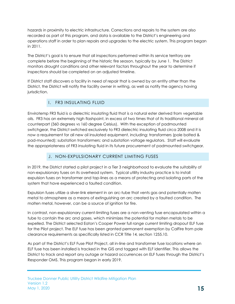hazards in proximity to electric infrastructure. Corrections and repairs to the system are also recorded as part of this program, and data is available to the District's engineering and operations staff in order to plan repairs and upgrades to the electric system. This program began in 2011.

The District's goal is to ensure that all inspections performed within its service territory are complete before the beginning of the historic fire season, typically by June 1. The District monitors drought conditions and other relevant factors throughout the year to determine if inspections should be completed on an adjusted timeline.

If District staff discovers a facility in need of repair that is owned by an entity other than the District, the District will notify the facility owner in writing, as well as notify the agency having jurisdiction.

# I. FR3 INSULATING FLUID

<span id="page-14-0"></span>Envirotemp FR3 fluid is a dielectric insulating fluid that is a natural ester derived from vegetable oils. FR3 has an extremely high flashpoint, in excess of two times that of its traditional mineral oil counterpart (360 degrees vs 160 degree Celsius). With the exception of padmounted switchgear, the District switched exclusively to FR3 dielectric insulating fluid circa 2008 and it is now a requirement for all new oil insulated equipment, including: transformers (pole bolted & pad-mounted); substation transformers; and substation voltage regulators. Staff will evaluate the appropriateness of FR3 insulating fluid in its future procurement of padmounted switchgear.

# J. NON-EXPULSIONARY CURRENT LIMITING FUSES

In 2019, the District started a pilot project in a Tier 3 neighborhood to evaluate the suitability of non-expulsionary fuses on its overhead system. Typical utility industry practice is to install expulsion fuses on transformer and tap-lines as a means of protecting and isolating parts of the system that have experienced a faulted condition.

Expulsion fuses utilize a silver-link element in an arc-tube that vents gas and potentially molten metal to atmosphere as a means of extinguishing an arc created by a faulted condition. The molten metal, however, can be a source of ignition for fire.

In contrast, non-expulsionary current-limiting fuses are a non-venting fuse encapsulated within a tube to contain the arc and gases, which minimizes the potential for molten metals to be expelled. The District selected Eaton's Cooper Power full range current limiting dropout ELF fuse for the Pilot project. The ELF fuse has been granted permanent exemption by CalFire from pole clearance requirements as specifically listed in CCR Title 14, section 1255.10.

As part of the District's ELF Fuse Pilot Project, all in-line and transformer fuse locations where an ELF fuse has been installed is tracked in the GIS and tagged with ELF identifier. This allows the District to track and report any outage or hazard occurrences on ELF fuses through the District's Responder OMS. This program began in early 2019.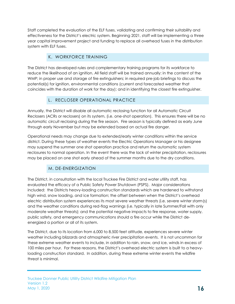Staff completed the evaluation of the ELF fuses, validating and confirming their suitability and effectiveness for the District's electric system. Beginning 2021, staff will be implementing a three year capital improvement project and funding to replace all overhead fuses in the distribution system with ELF fuses.

# K. WORKFORCE TRAINING

The District has developed rules and complementary training programs for its workforce to reduce the likelihood of an ignition. All field staff will be trained annually: in the content of the WMP; in proper use and storage of fire extinguishers; in required pre-job briefings to discuss the potential(s) for ignition, environmental conditions (current and forecasted weather that coincides with the duration of work for the day); and in identifying the closest fire extinguisher.

# L. RECLOSER OPERATIONAL PRACTICE

Annually, the District will disable all automatic reclosing function for all Automatic Circuit Reclosers (ACRs or reclosers) on its system, (i.e. one-shot operation). This ensures there will be no automatic circuit reclosing during the fire season. Fire season is typically defined as early June through early November but may be extended based on actual fire danger.

Operational needs may change due to extended/early winter conditions within the service district. During these types of weather events the Electric Operations Manager or his designee may suspend the summer one shot operation practice and return the automatic system reclosures to normal operation. In the event there was the lack of winter precipitation, reclosures may be placed on one shot early ahead of the summer months due to the dry conditions.

# M. DE-ENERGIZATION

The District, in consultation with the local Truckee Fire District and water utility staff, has evaluated the efficacy of a Public Safety Power Shutdown (PSPS). Major considerations included: the Districts heavy-loading construction standards which are hardened to withstand high wind, snow loading, and ice formation; the offset between when the District's overhead electric distribution system experiences its most severe weather threats (i.e. severe winter storm(s) and the weather conditions during red-flag warnings (i.e. typically in late Summer/Fall with only moderate weather threats); and the potential negative impacts to fire response, water supply, public safety, and emergency communications should a fire occur while the District deenergized a portion or all of its system.

The District, due to its location from 6,000 to 8,500 feet altitude, experiences severe winter weather including blizzards and atmospheric river precipitation events. It is not uncommon for these extreme weather events to include, in addition to rain, snow, and ice, winds in excess of 100 miles per hour. For these reasons, the District's overhead electric system is built to a heavyloading construction standard. In addition, during these extreme winter events the wildfire threat is minimal.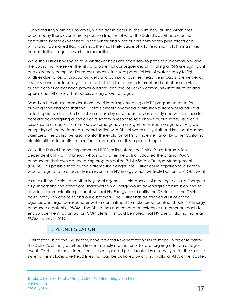During red flag warnings however, which again occur in late Summer/Fall, the winds that accompany these events are typically a fraction of what the District's overhead electric distribution system experiences in the winter and what our predominately pine forests can withstand. During red flag warnings, the most likely cause of wildfire ignition is lightning strikes, transportation, illegal fireworks, or recreation.

While the District is willing to take whatever steps are necessary to protect our community and the public that we serve, the risks and potential consequences of initiating a PSPS are significant and extremely complex. Foremost concerns include: potential loss of water supply to fight wildfires due to loss of production wells and pumping facilities, negative impacts to emergency response and public safety due to the historic disruptions in Internet and cell phone service during periods of extended power outages, and the loss of key community infrastructure and operational efficiency that occurs during power outages.

Based on the above considerations, the risks of implementing a PSPS program seem to far outweigh the chances that the District's electric overhead distribution system would cause a catastrophic wildfire. The District, on a case-by-case basis, has historically and will continue to consider de-energizing a portion of its system in response to a known public safety issue or in response to a request from an outside emergency management/response agency. Any deenergizing will be performed in coordination with District water utility staff and key local partner agencies. The District will also monitor the evolution of PSPS implementation by other California electric utilities to continue to refine its evaluation of this important topic.

While the District has not implemented PSPS for its system, the District's is a Transmission Dependent Utility of NV Energy who, shortly after the District adopted the original WMP, announced their own de-energizing program called Public Safety Outage Management (PSOM). It is possible that, during extreme fire danger, the District could experience a systemwide outage due to a loss of transmission from NV Energy which will likely be from a PSOM event.

As a result the District, and other key local agencies, held a series of meetings with NV Energy to fully understand the conditions under which NV Energy would de-energize transmission and to develop communication protocols so that NV Energy could notify the District and the District could notify key agencies and our customers. The District has developed a list of critical agencies/emergency responders with a commitment to make direct contact should NV Energy announce a potential PSOM. The District has also conducted extensive customer outreach to encourage them to sign up for PSOM alerts. It should be noted that NV Energy did not have any PSOM events in 2019

# N. RE-ENERGIZATION

District staff, using the GIS system, have created Re-energization route maps. In order to patrol the District's primary overhead lines in a timely manner prior to re-energizing after an outage event, District staff have identified and categorized patrol routes by access type for the electric system. This includes overhead lines that can be patrolled by driving, walking, ATV, or helicopter.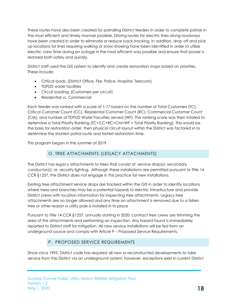These routes have also been created for patrolling District feeders in order to complete patrols in the most efficient and timely manner possible. Driving routes for electric lines along roadways have been created in order to eliminate or reduce back-tracking. In addition, drop off and pick up locations for lines requiring walking or snow-shoeing have been identified in order to utilize electric crew time during an outage in the most efficient way possible and ensure that power is restored both safely and quickly.

District staff used the GIS system to identify and create restoration maps based on priorities. These include:

- Critical loads, (District Office, Fire, Police, Hospital, Telecom)
- **TDPUD** water facilities
- Circuit loading, (Customers per circuit)
- Residential vs. Commercial

Each feeder was ranked with a score of 1-17 based on the number of Total Customers (TC), Critical Customer Count (CC), Residential Customer Count (RC), Commercial Customer Count (CM), and number of TDPUD Water Faculties served (WF). The ranking score was then totaled to determine a Total Priority Ranking (TC+CC+RC+CM+WF = Total Priority Ranking). This would be the basis for restoration order, then physical circuit layout within the District was factored in to determine the shortest patrol route and fastest restoration time.

<span id="page-17-0"></span>This program began in the summer of 2019.

# O. TREE ATTACHMENTS (LEGACY ATTACHMENTS)

The District has legacy attachments to trees that consist of: service drop(s); secondary conductor(s); or, security lighting. Although these installations are permitted pursuant to Title 14 CCR §1257, the District does not engage in this practice for new installations.

Existing tree attachment service drops are tracked within the GIS in order to identify locations where trees and branches may be a potential hazards to electric infrastructure and provide District crews with location information for inspecting tree attachments. Legacy tree attachments are no longer allowed and any time an attachment is removed due to a fallen tree or other reason a utility pole is installed in its place

Pursuant to Title 14 CCR §1257; annually starting in 2020, contract tree crews are trimming the area of the attachments and performing an inspection. Any hazard found is immediately reported to District staff for mitigation. All new service installations will be fed from an underground source and comply with Article P – Proposed Service Requirements.

#### P. PROPOSED SERVICE REQUIREMENTS

Since circa 1995, District code has required all new or reconstructed developments to take service from the District via an underground system; however, exceptions exist in current District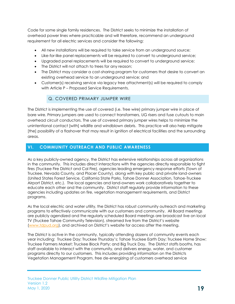Code for some single family residences. The District seeks to minimize the installation of overhead power lines where practicable and will therefore, recommend an underground requirement for all electric services and consider the following:

- All new installations will be required to take service from an underground source;
- Like-for-like panel replacements will be required to convert to underground service;
- Upgraded panel replacements will be required to convert to underground service;
- The District will not attach to trees for any reason;
- The District may consider a cost-sharing program for customers that desire to convert an existing overhead service to an underground service; and
- Customer(s) receiving service via legacy tree attachment(s) will be required to comply with Article P – Proposed Service Requirements.

#### Q. COVERED PRIMARY JUMPER WIRE

The District is implementing the use of covered (i.e. Tree wire) primary jumper wire in place of bare wire. Primary jumpers are used to connect transformers, UG risers and fuse cutouts to main overhead circuit conductors. The use of covered primary jumper wires helps to minimize the unintentional contact [with] wildlife and windblown debris. This practice will also help mitigate [the] possibility of a flashover that may result in ignition of electrical facilities and the surrounding areas.

#### **VI. COMMUNITY OUTREACH AND PUBLIC AWARENESS**

As a key publicly-owned agency, the District has extensive relationships across all organizations in the community. This includes direct interactions with the agencies directly responsible to fight fires (Truckee Fire District and Cal Fire), agencies leading emergency response efforts (Town of Truckee, Nevada County, and Placer County), along with key public and private land-owners (United States Forest Service, California State Parks, Tahoe Donner Association, Tahoe-Truckee Airport District, etc.). The local agencies and land-owners work collaboratively together to educate each other and the community. District staff regularly provide information to these agencies including updates on fire, vegetation management requirements, and District programs.

As the local electric and water utility, the District has robust community outreach and marketing programs to effectively communicate with our customers and community. All Board meetings are publicly agendized and the regularly scheduled Board meetings are broadcast live on local TV (Truckee Tahoe Community Television), streamed live from the District's website [\(www.tdpud.org](http://www.tdpud.org/)), and archived on District's website for access after the meeting.

The District is active in the community, typically attending dozens of community events each year including: Truckee Day; Truckee Thursday's; Tahoe Truckee Earth Day; Truckee Home Show; Truckee Farmers Market; Truckee Block Party; and Big Truck Day. The District staffs booths, has staff available to interact with the community, and delivers energy, water, and customer programs directly to our customers. This includes providing information on the Districts Vegetation Management Program, free de-energizing of customers overhead service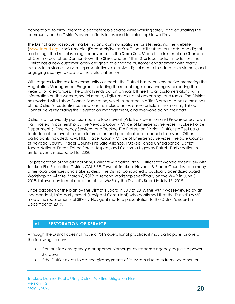connections to allow them to clear defensible space while working safely, and educating the community on the District's overall efforts to respond to catastrophic wildfires.

The District also has robust marketing and communication efforts leveraging the website [\(www.tdpud.org\)](http://www.tdpud.org/), social medial (Facebook/Twitter/YouTube), bill stuffers, print ads, and digital marketing. The District is a regular advertiser in the Sierra Sun, Moonshine Ink, Truckee Chamber of Commerce, Tahoe Donner News, The Shire, and on KTKE 101.5 local radio. In addition, the District has a new customer lobby designed to enhance customer engagement with ready access to customers service representatives, extensive digital media to educate customers, and engaging displays to capture the visitors attention.

With regards to fire-related community outreach, the District has been very active promoting the Vegetation Management Program; including the recent regulatory changes increasing the vegetation clearances. The District sends out an annual bill insert to all customers along with information on the website, social media, digital media, print advertising, and radio. The District has worked with Tahoe Donner Association, which is located in a Tier 3 area and has almost half of the District's residential connections, to include an extensive article in the monthly Tahoe Donner News regarding fire, vegetation management, and everyone doing their part.

District staff previously participated in a local event (Wildfire Prevention and Preparedness Town Hall) hosted in partnership by the Nevada County Office of Emergency Services, Truckee Police Department & Emergency Services, and Truckee Fire Protection District. District staff set up a table-top at the event to share information and participated in a panel discussion. Other participants included: CAL FIRE, Placer County Office of Emergency Services, Fire Safe Council of Nevada County, Placer County Fire Safe Alliance, Truckee Tahoe Unified School District, Tahoe National Forest, Tahoe Forest Hospital, and California Highway Patrol. Participation in similar events is expected for 2020.

For preparation of the original SB 901 Wildfire Mitigation Plan, District staff worked extensively with Truckee Fire Protection District, CAL FIRE, Town of Truckee, Nevada & Placer Counties, and many other local agencies and stakeholders. The District conducted a publically agendized Board Workshop on wildfire, March 6, 2019, a second Workshop specifically on the WMP in June 5, 2019, followed by formal adoption of the WMP by the District's Board in July 17, 2019.

Since adoption of the plan by the District's Board in July of 2019, the WMP was reviewed by an independent, third-party expert (Navigant Consultant) who confirmed that the District's WMP meets the requirements of SB901. Navigant made a presentation to the District's Board in December of 2019.

#### <span id="page-19-0"></span>**VII. RESTORATION OF SERVICE**

Although the District does not have a PSPS operational practice, it may participate for one of the following reasons:

- If an outside emergency management/emergency response agency request a power shutdown;
- If the District elects to de-energize segments of its system due to extreme weather; or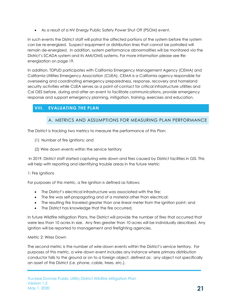As a result of a NV Energy Public Safety Power Shut Off (PSOM) event.

In such events the District staff will patrol the affected portions of the system before the system can be re-energized. Suspect equipment or distribution lines that cannot be patrolled will remain de-energized. In addition, system performance abnormalities will be monitored via the District's SCADA system and its AMI/OMS systems. For more information please see Reenergization on page 19.

In addition, TDPUD participates with California Emergency Management Agency (CEMA) and California Utilities Emergency Association (CUEA). CEMA is a California agency responsible for overseeing and coordinating emergency preparedness, response, recovery and homeland security activities while CUEA serves as a point-of-contact for critical infrastructure utilities and Cal OES before, during and after an event to facilitate communications, provide emergency response and support emergency planning, mitigation, training, exercises and education.

# <span id="page-20-1"></span><span id="page-20-0"></span>**VIII. EVALUATING THE PLAN**

#### <span id="page-20-2"></span>A. METRICS AND ASSUMPTIONS FOR MEASURING PLAN PERFORMANCE

The District is tracking two metrics to measure the performance of this Plan:

- (1) Number of fire ignitions; and
- (2) Wire down events within the service territory

In 2019, District staff started capturing wire down and fires caused by District facilities in GIS. This will help with reporting and identifying trouble areas in the future Metric

#### 1: Fire Ignitions

For purposes of this metric, a fire ignition is defined as follows:

- The District's electrical infrastructure was associated with the fire;
- The fire was self-propagating and of a material other than electrical;
- The resulting fire traveled greater than one linear meter from the ignition point; and
- The District has knowledge that the fire occurred.

In future Wildfire Mitigation Plans, the District will provide the number of fires that occurred that were less than 10 acres in size. Any fires greater than 10 acres will be individually described. Any ignition will be reported to management and firefighting agencies.

#### <span id="page-20-3"></span>Metric 2: Wires Down

The second metric is the number of wire-down events within the District's service territory. For purposes of this metric, a wire-down event includes any instance where primary distribution conductor falls to the ground or on to a foreign object, defined as: any object not specifically an asset of the District (i.e. phone, cable, trees, etc.).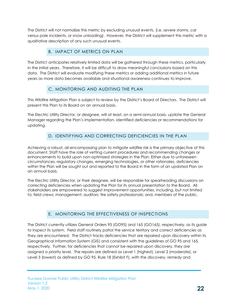The District will not normalize this metric by excluding unusual events, (i.e. severe storms, car versus pole incidents, or snow unloading). However, the District will supplement this metric with a qualitative description of any such unusual events.

#### B. IMPACT OF METRICS ON PLAN

<span id="page-21-0"></span>The District anticipates relatively limited data will be gathered through these metrics, particularly in the initial years. Therefore, it will be difficult to draw meaningful conclusions based on this data. The District will evaluate modifying these metrics or adding additional metrics in future years as more data becomes available and situational awareness continues to improve.

#### C. MONITORING AND AUDITING THE PLAN

<span id="page-21-1"></span>This Wildfire Mitigation Plan is subject to review by the District's Board of Directors. The District will present this Plan to its Board on an annual basis.

The Electric Utility Director, or designee, will at least, on a semi-annual basis, update the General Manager regarding the Plan's implementation, identified deficiencies or recommendations for updating.

# D. IDENTIFYING AND CORRECTING DEFICIENCIES IN THE PLAN

<span id="page-21-3"></span><span id="page-21-2"></span>Achieving a robust, all-encompassing plan to mitigate wildfire risk is the primary objective of this document. Staff have the role of vetting current procedures and recommending changes or enhancements to build upon non-optimized strategies in the Plan. Either due to unforeseen circumstances, regulatory changes, emerging technologies, or other rationales, deficiencies within the Plan will be sought out and reported to the Board in the form of an updated Plan on an annual basis.

The Electric Utility Director, or their designee, will be responsible for spearheading discussions on correcting deficiencies when updating the Plan for its annual presentation to the Board. All stakeholders are empowered to suggest improvement opportunities, including, but not limited to: field crews; management; auditors; fire safety professionals; and, members of the public.

# E. MONITORING THE EFFECTIVENESS OF INSPECTIONS

The District currently utilizes General Orders 95 (GO95) and 165 (GO165), respectively, as its guide to inspect its system. Field staff routinely patrol the service territory and correct deficiencies as they are encountered. The District tracks deficiencies that are repaired upon discovery within its Geographical Information System (GIS) and consistent with the guidelines of GO 95 and 165, respectively. Further, for deficiencies that cannot be repaired upon discovery, they are assigned a priority level. The repairs are defined as Level 1 (highest), Level 2 (moderate), or Level 3 (lowest) as defined by GO 95, Rule 18 (Exhibit F), with the discovery, remedy and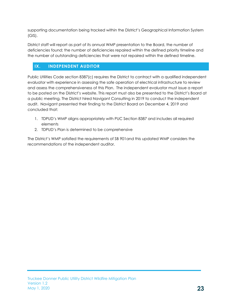supporting documentation being tracked within the District's Geographical Information System  $(GIS)$ .

District staff will report as part of its annual WMP presentation to the Board, the number of deficiencies found; the number of deficiencies repaired within the defined priority timeline and the number of outstanding deficiencies that were not repaired within the defined timeline.

# <span id="page-22-0"></span>**IX. INDEPENDENT AUDITOR**

Public Utilities Code section 8387(c) requires the District to contract with a qualified independent evaluator with experience in assessing the safe operation of electrical infrastructure to review and assess the comprehensiveness of this Plan. The independent evaluator must issue a report to be posted on the District's website. This report must also be presented to the District's Board at a public meeting. The District hired Navigant Consulting in 2019 to conduct the independent audit. Navigant presented their finding to the District Board on December 4, 2019 and concluded that:

- 1. TDPUD's WMP aligns appropriately with PUC Section 8387 and includes all required elements
- 2. TDPUD's Plan is determined to be comprehensive

The District's WMP satisfied the requirements of SB 901and this updated WMP considers the recommendations of the independent auditor.